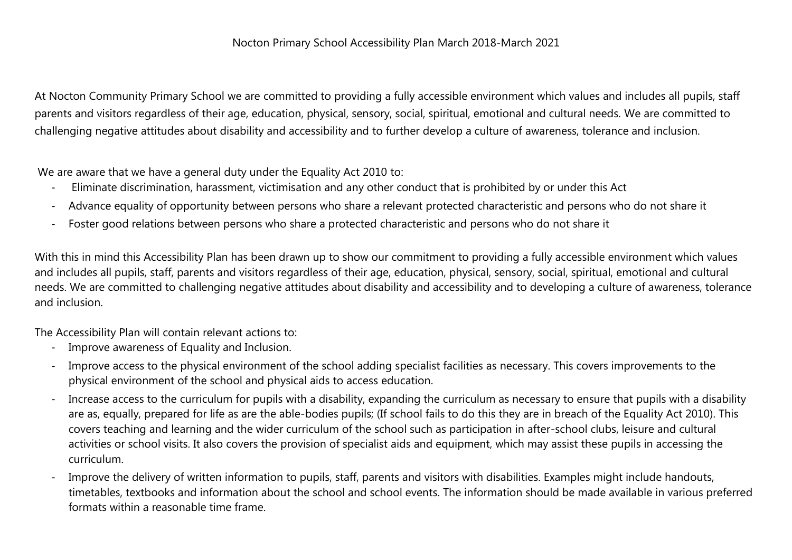## Nocton Primary School Accessibility Plan March 2018-March 2021

At Nocton Community Primary School we are committed to providing a fully accessible environment which values and includes all pupils, staff parents and visitors regardless of their age, education, physical, sensory, social, spiritual, emotional and cultural needs. We are committed to challenging negative attitudes about disability and accessibility and to further develop a culture of awareness, tolerance and inclusion.

We are aware that we have a general duty under the Equality Act 2010 to:

- Eliminate discrimination, harassment, victimisation and any other conduct that is prohibited by or under this Act
- Advance equality of opportunity between persons who share a relevant protected characteristic and persons who do not share it
- Foster good relations between persons who share a protected characteristic and persons who do not share it

With this in mind this Accessibility Plan has been drawn up to show our commitment to providing a fully accessible environment which values and includes all pupils, staff, parents and visitors regardless of their age, education, physical, sensory, social, spiritual, emotional and cultural needs. We are committed to challenging negative attitudes about disability and accessibility and to developing a culture of awareness, tolerance and inclusion.

The Accessibility Plan will contain relevant actions to:

- Improve awareness of Equality and Inclusion.
- Improve access to the physical environment of the school adding specialist facilities as necessary. This covers improvements to the physical environment of the school and physical aids to access education.
- Increase access to the curriculum for pupils with a disability, expanding the curriculum as necessary to ensure that pupils with a disability are as, equally, prepared for life as are the able-bodies pupils; (If school fails to do this they are in breach of the Equality Act 2010). This covers teaching and learning and the wider curriculum of the school such as participation in after-school clubs, leisure and cultural activities or school visits. It also covers the provision of specialist aids and equipment, which may assist these pupils in accessing the curriculum.
- Improve the delivery of written information to pupils, staff, parents and visitors with disabilities. Examples might include handouts, timetables, textbooks and information about the school and school events. The information should be made available in various preferred formats within a reasonable time frame.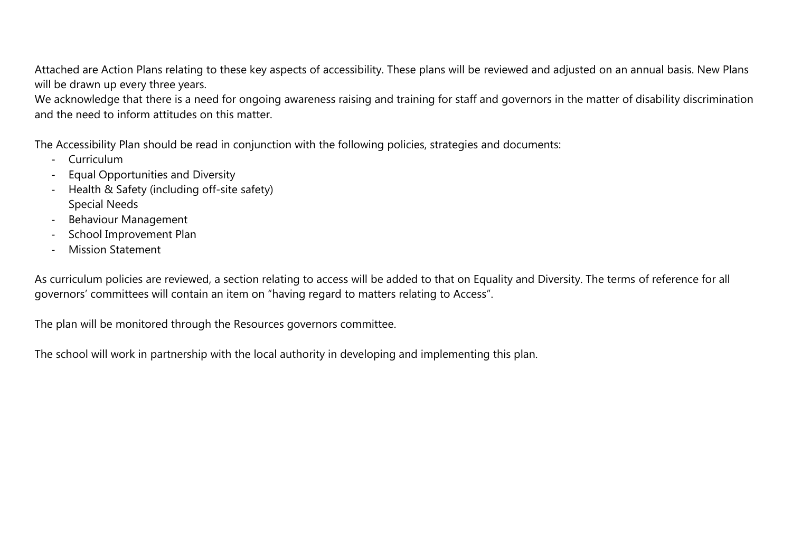Attached are Action Plans relating to these key aspects of accessibility. These plans will be reviewed and adjusted on an annual basis. New Plans will be drawn up every three years.

We acknowledge that there is a need for ongoing awareness raising and training for staff and governors in the matter of disability discrimination and the need to inform attitudes on this matter.

The Accessibility Plan should be read in conjunction with the following policies, strategies and documents:

- Curriculum
- Equal Opportunities and Diversity
- Health & Safety (including off-site safety) Special Needs
- Behaviour Management
- School Improvement Plan
- Mission Statement

As curriculum policies are reviewed, a section relating to access will be added to that on Equality and Diversity. The terms of reference for all governors' committees will contain an item on "having regard to matters relating to Access".

The plan will be monitored through the Resources governors committee.

The school will work in partnership with the local authority in developing and implementing this plan.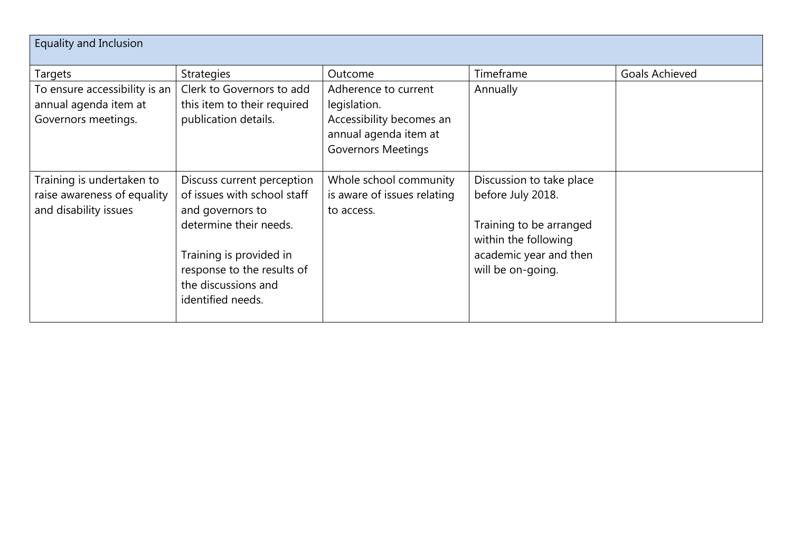| <b>Equality and Inclusion</b>                                                     |                                                                                                                                                                                                              |                                                                                                                        |                                                                                                                                                 |                       |
|-----------------------------------------------------------------------------------|--------------------------------------------------------------------------------------------------------------------------------------------------------------------------------------------------------------|------------------------------------------------------------------------------------------------------------------------|-------------------------------------------------------------------------------------------------------------------------------------------------|-----------------------|
| Targets                                                                           | <b>Strategies</b>                                                                                                                                                                                            | Outcome                                                                                                                | Timeframe                                                                                                                                       | <b>Goals Achieved</b> |
| To ensure accessibility is an<br>annual agenda item at<br>Governors meetings.     | Clerk to Governors to add<br>this item to their required<br>publication details.                                                                                                                             | Adherence to current<br>legislation.<br>Accessibility becomes an<br>annual agenda item at<br><b>Governors Meetings</b> | Annually                                                                                                                                        |                       |
| Training is undertaken to<br>raise awareness of equality<br>and disability issues | Discuss current perception<br>of issues with school staff<br>and governors to<br>determine their needs.<br>Training is provided in<br>response to the results of<br>the discussions and<br>identified needs. | Whole school community<br>is aware of issues relating<br>to access.                                                    | Discussion to take place<br>before July 2018.<br>Training to be arranged<br>within the following<br>academic year and then<br>will be on-going. |                       |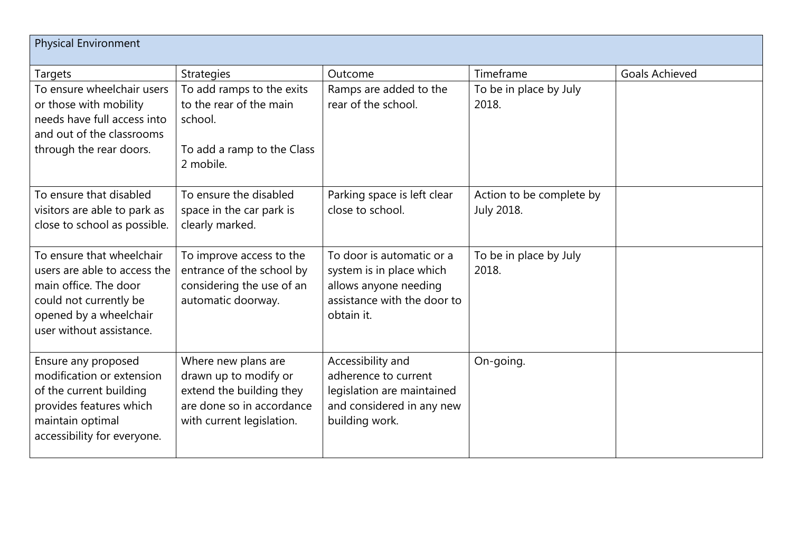| <b>Physical Environment</b>                                                                                                                                        |                                                                                                                                    |                                                                                                                             |                                               |                       |
|--------------------------------------------------------------------------------------------------------------------------------------------------------------------|------------------------------------------------------------------------------------------------------------------------------------|-----------------------------------------------------------------------------------------------------------------------------|-----------------------------------------------|-----------------------|
| Targets                                                                                                                                                            | <b>Strategies</b>                                                                                                                  | Outcome                                                                                                                     | Timeframe                                     | <b>Goals Achieved</b> |
| To ensure wheelchair users<br>or those with mobility<br>needs have full access into<br>and out of the classrooms<br>through the rear doors.                        | To add ramps to the exits<br>to the rear of the main<br>school.<br>To add a ramp to the Class<br>2 mobile.                         | Ramps are added to the<br>rear of the school.                                                                               | To be in place by July<br>2018.               |                       |
| To ensure that disabled<br>visitors are able to park as<br>close to school as possible.                                                                            | To ensure the disabled<br>space in the car park is<br>clearly marked.                                                              | Parking space is left clear<br>close to school.                                                                             | Action to be complete by<br><b>July 2018.</b> |                       |
| To ensure that wheelchair<br>users are able to access the<br>main office. The door<br>could not currently be<br>opened by a wheelchair<br>user without assistance. | To improve access to the<br>entrance of the school by<br>considering the use of an<br>automatic doorway.                           | To door is automatic or a<br>system is in place which<br>allows anyone needing<br>assistance with the door to<br>obtain it. | To be in place by July<br>2018.               |                       |
| Ensure any proposed<br>modification or extension<br>of the current building<br>provides features which<br>maintain optimal<br>accessibility for everyone.          | Where new plans are<br>drawn up to modify or<br>extend the building they<br>are done so in accordance<br>with current legislation. | Accessibility and<br>adherence to current<br>legislation are maintained<br>and considered in any new<br>building work.      | On-going.                                     |                       |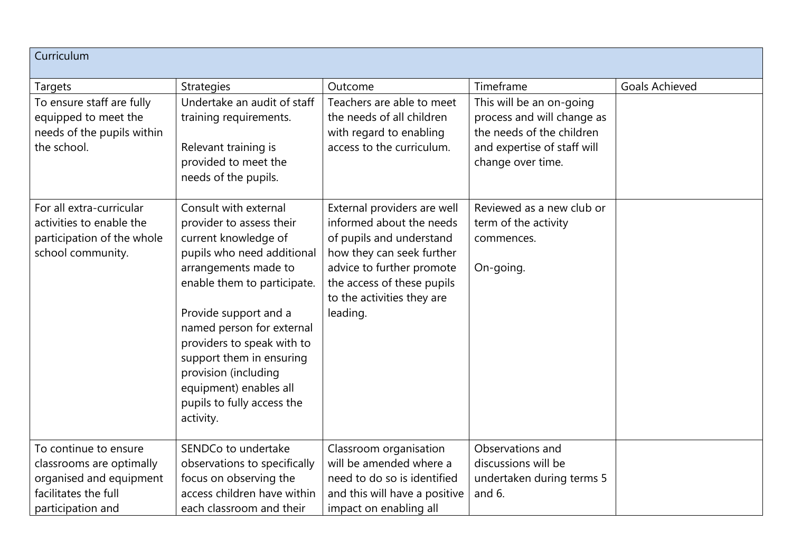| Curriculum                                                                                              |                                                                                                                                                                                                                                                                                                                                                                             |                                                                                                                                                                                                                       |                                                                                                                                         |                       |
|---------------------------------------------------------------------------------------------------------|-----------------------------------------------------------------------------------------------------------------------------------------------------------------------------------------------------------------------------------------------------------------------------------------------------------------------------------------------------------------------------|-----------------------------------------------------------------------------------------------------------------------------------------------------------------------------------------------------------------------|-----------------------------------------------------------------------------------------------------------------------------------------|-----------------------|
| <b>Targets</b>                                                                                          | <b>Strategies</b>                                                                                                                                                                                                                                                                                                                                                           | Outcome                                                                                                                                                                                                               | Timeframe                                                                                                                               | <b>Goals Achieved</b> |
| To ensure staff are fully<br>equipped to meet the<br>needs of the pupils within<br>the school.          | Undertake an audit of staff<br>training requirements.<br>Relevant training is<br>provided to meet the<br>needs of the pupils.                                                                                                                                                                                                                                               | Teachers are able to meet<br>the needs of all children<br>with regard to enabling<br>access to the curriculum.                                                                                                        | This will be an on-going<br>process and will change as<br>the needs of the children<br>and expertise of staff will<br>change over time. |                       |
| For all extra-curricular<br>activities to enable the<br>participation of the whole<br>school community. | Consult with external<br>provider to assess their<br>current knowledge of<br>pupils who need additional<br>arrangements made to<br>enable them to participate.<br>Provide support and a<br>named person for external<br>providers to speak with to<br>support them in ensuring<br>provision (including<br>equipment) enables all<br>pupils to fully access the<br>activity. | External providers are well<br>informed about the needs<br>of pupils and understand<br>how they can seek further<br>advice to further promote<br>the access of these pupils<br>to the activities they are<br>leading. | Reviewed as a new club or<br>term of the activity<br>commences.<br>On-going.                                                            |                       |
| To continue to ensure                                                                                   | SENDCo to undertake                                                                                                                                                                                                                                                                                                                                                         | Classroom organisation                                                                                                                                                                                                | Observations and                                                                                                                        |                       |
| classrooms are optimally                                                                                | observations to specifically                                                                                                                                                                                                                                                                                                                                                | will be amended where a                                                                                                                                                                                               | discussions will be                                                                                                                     |                       |
| organised and equipment                                                                                 | focus on observing the                                                                                                                                                                                                                                                                                                                                                      | need to do so is identified                                                                                                                                                                                           | undertaken during terms 5                                                                                                               |                       |
| facilitates the full                                                                                    | access children have within                                                                                                                                                                                                                                                                                                                                                 | and this will have a positive                                                                                                                                                                                         | and 6.                                                                                                                                  |                       |
| participation and                                                                                       | each classroom and their                                                                                                                                                                                                                                                                                                                                                    | impact on enabling all                                                                                                                                                                                                |                                                                                                                                         |                       |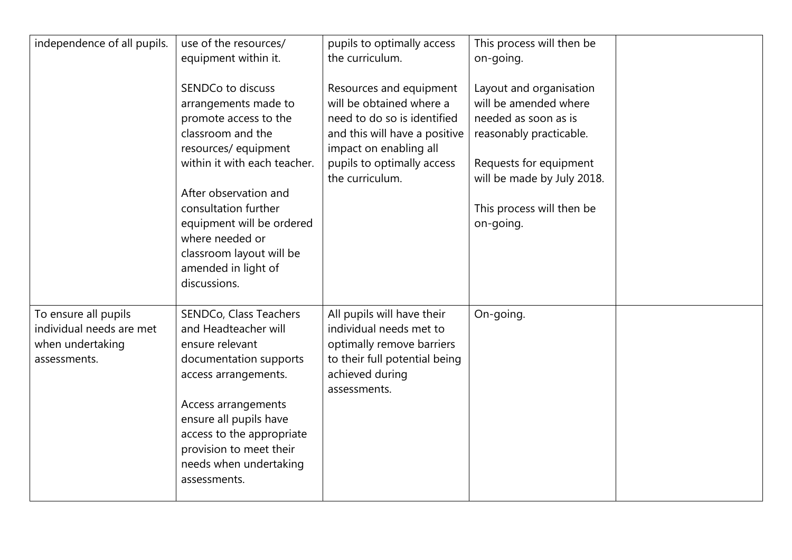| independence of all pupils.                                                          | use of the resources/<br>equipment within it.                                                                                                                                                                                                                                                                      | pupils to optimally access<br>the curriculum.                                                                                                                                                  | This process will then be<br>on-going.                                                                                                                                                                |  |
|--------------------------------------------------------------------------------------|--------------------------------------------------------------------------------------------------------------------------------------------------------------------------------------------------------------------------------------------------------------------------------------------------------------------|------------------------------------------------------------------------------------------------------------------------------------------------------------------------------------------------|-------------------------------------------------------------------------------------------------------------------------------------------------------------------------------------------------------|--|
|                                                                                      | SENDCo to discuss<br>arrangements made to<br>promote access to the<br>classroom and the<br>resources/equipment<br>within it with each teacher.<br>After observation and<br>consultation further<br>equipment will be ordered<br>where needed or<br>classroom layout will be<br>amended in light of<br>discussions. | Resources and equipment<br>will be obtained where a<br>need to do so is identified<br>and this will have a positive<br>impact on enabling all<br>pupils to optimally access<br>the curriculum. | Layout and organisation<br>will be amended where<br>needed as soon as is<br>reasonably practicable.<br>Requests for equipment<br>will be made by July 2018.<br>This process will then be<br>on-going. |  |
| To ensure all pupils<br>individual needs are met<br>when undertaking<br>assessments. | SENDCo, Class Teachers<br>and Headteacher will<br>ensure relevant<br>documentation supports<br>access arrangements.<br>Access arrangements<br>ensure all pupils have<br>access to the appropriate<br>provision to meet their<br>needs when undertaking<br>assessments.                                             | All pupils will have their<br>individual needs met to<br>optimally remove barriers<br>to their full potential being<br>achieved during<br>assessments.                                         | On-going.                                                                                                                                                                                             |  |